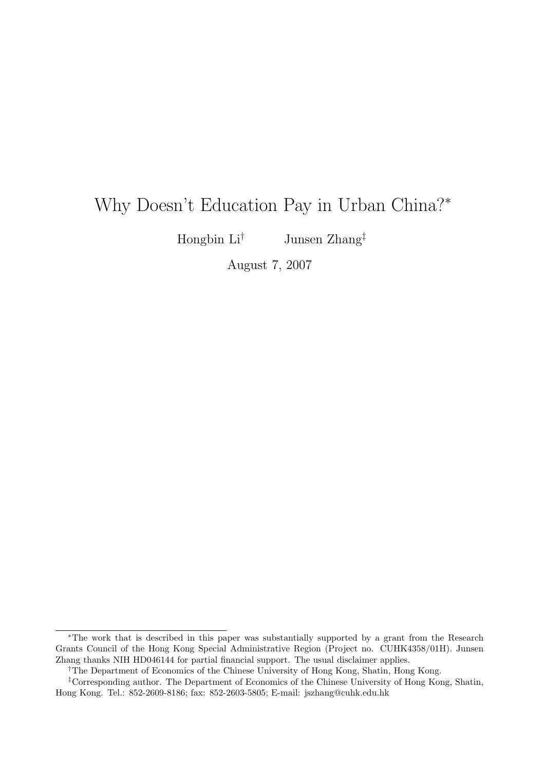# Why Doesn't Education Pay in Urban China?<sup>∗</sup>

Hongbin  $\mathrm{Li}^\dagger$  Junsen Zhang<sup>‡</sup>

August 7, 2007

†The Department of Economics of the Chinese University of Hong Kong, Shatin, Hong Kong.

<sup>∗</sup>The work that is described in this paper was substantially supported by a grant from the Research Grants Council of the Hong Kong Special Administrative Region (Project no. CUHK4358/01H). Junsen Zhang thanks NIH HD046144 for partial financial support. The usual disclaimer applies.

<sup>‡</sup>Corresponding author. The Department of Economics of the Chinese University of Hong Kong, Shatin, Hong Kong. Tel.: 852-2609-8186; fax: 852-2603-5805; E-mail: jszhang@cuhk.edu.hk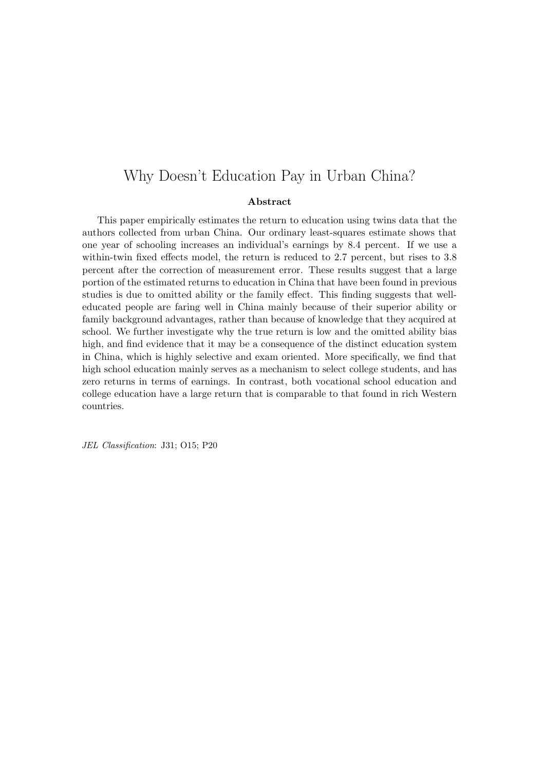### Why Doesn't Education Pay in Urban China?

#### Abstract

This paper empirically estimates the return to education using twins data that the authors collected from urban China. Our ordinary least-squares estimate shows that one year of schooling increases an individual's earnings by 8.4 percent. If we use a within-twin fixed effects model, the return is reduced to 2.7 percent, but rises to 3.8 percent after the correction of measurement error. These results suggest that a large portion of the estimated returns to education in China that have been found in previous studies is due to omitted ability or the family effect. This finding suggests that welleducated people are faring well in China mainly because of their superior ability or family background advantages, rather than because of knowledge that they acquired at school. We further investigate why the true return is low and the omitted ability bias high, and find evidence that it may be a consequence of the distinct education system in China, which is highly selective and exam oriented. More specifically, we find that high school education mainly serves as a mechanism to select college students, and has zero returns in terms of earnings. In contrast, both vocational school education and college education have a large return that is comparable to that found in rich Western countries.

JEL Classification: J31; O15; P20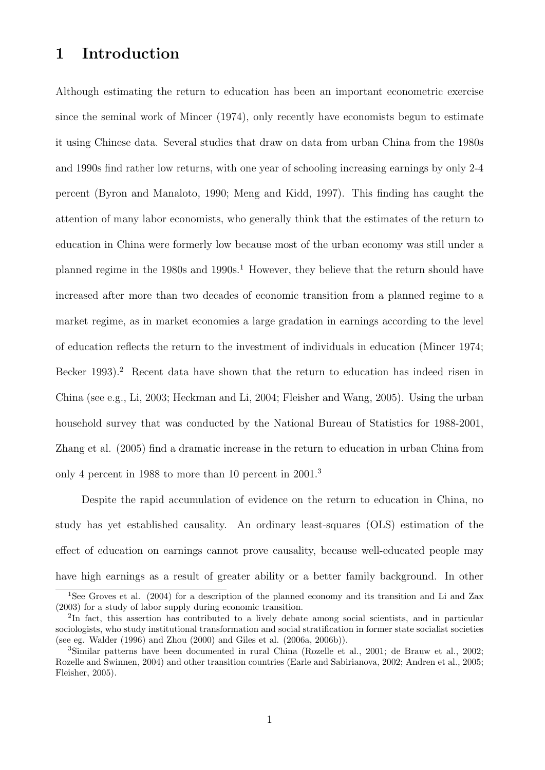# 1 Introduction

Although estimating the return to education has been an important econometric exercise since the seminal work of Mincer (1974), only recently have economists begun to estimate it using Chinese data. Several studies that draw on data from urban China from the 1980s and 1990s find rather low returns, with one year of schooling increasing earnings by only 2-4 percent (Byron and Manaloto, 1990; Meng and Kidd, 1997). This finding has caught the attention of many labor economists, who generally think that the estimates of the return to education in China were formerly low because most of the urban economy was still under a planned regime in the  $1980s$  and  $1990s<sup>1</sup>$ . However, they believe that the return should have increased after more than two decades of economic transition from a planned regime to a market regime, as in market economies a large gradation in earnings according to the level of education reflects the return to the investment of individuals in education (Mincer 1974; Becker 1993).<sup>2</sup> Recent data have shown that the return to education has indeed risen in China (see e.g., Li, 2003; Heckman and Li, 2004; Fleisher and Wang, 2005). Using the urban household survey that was conducted by the National Bureau of Statistics for 1988-2001, Zhang et al. (2005) find a dramatic increase in the return to education in urban China from only 4 percent in 1988 to more than 10 percent in 2001.<sup>3</sup>

Despite the rapid accumulation of evidence on the return to education in China, no study has yet established causality. An ordinary least-squares (OLS) estimation of the effect of education on earnings cannot prove causality, because well-educated people may have high earnings as a result of greater ability or a better family background. In other

<sup>&</sup>lt;sup>1</sup>See Groves et al. (2004) for a description of the planned economy and its transition and Li and Zax (2003) for a study of labor supply during economic transition.

<sup>&</sup>lt;sup>2</sup>In fact, this assertion has contributed to a lively debate among social scientists, and in particular sociologists, who study institutional transformation and social stratification in former state socialist societies (see eg. Walder (1996) and Zhou (2000) and Giles et al. (2006a, 2006b)).

<sup>3</sup>Similar patterns have been documented in rural China (Rozelle et al., 2001; de Brauw et al., 2002; Rozelle and Swinnen, 2004) and other transition countries (Earle and Sabirianova, 2002; Andren et al., 2005; Fleisher, 2005).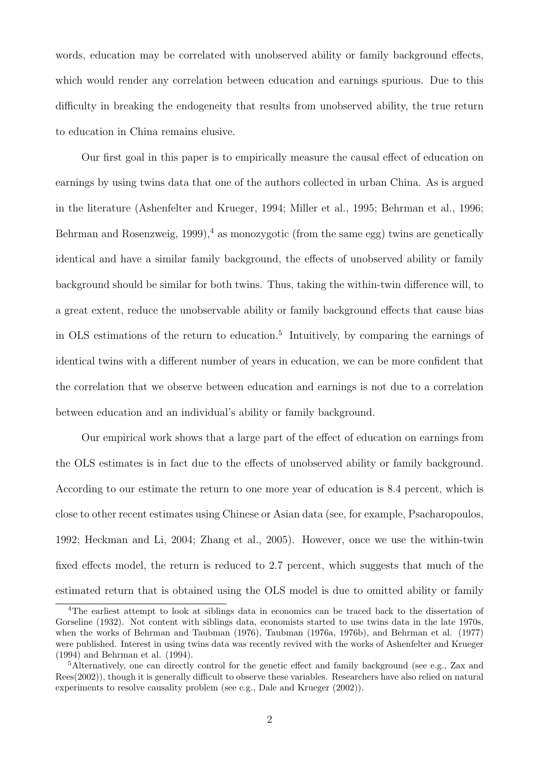words, education may be correlated with unobserved ability or family background effects, which would render any correlation between education and earnings spurious. Due to this difficulty in breaking the endogeneity that results from unobserved ability, the true return to education in China remains elusive.

Our first goal in this paper is to empirically measure the causal effect of education on earnings by using twins data that one of the authors collected in urban China. As is argued in the literature (Ashenfelter and Krueger, 1994; Miller et al., 1995; Behrman et al., 1996; Behrman and Rosenzweig, 1999),<sup>4</sup> as monozygotic (from the same egg) twins are genetically identical and have a similar family background, the effects of unobserved ability or family background should be similar for both twins. Thus, taking the within-twin difference will, to a great extent, reduce the unobservable ability or family background effects that cause bias in OLS estimations of the return to education.<sup>5</sup> Intuitively, by comparing the earnings of identical twins with a different number of years in education, we can be more confident that the correlation that we observe between education and earnings is not due to a correlation between education and an individual's ability or family background.

Our empirical work shows that a large part of the effect of education on earnings from the OLS estimates is in fact due to the effects of unobserved ability or family background. According to our estimate the return to one more year of education is 8.4 percent, which is close to other recent estimates using Chinese or Asian data (see, for example, Psacharopoulos, 1992; Heckman and Li, 2004; Zhang et al., 2005). However, once we use the within-twin fixed effects model, the return is reduced to 2.7 percent, which suggests that much of the estimated return that is obtained using the OLS model is due to omitted ability or family

<sup>&</sup>lt;sup>4</sup>The earliest attempt to look at siblings data in economics can be traced back to the dissertation of Gorseline (1932). Not content with siblings data, economists started to use twins data in the late 1970s, when the works of Behrman and Taubman (1976), Taubman (1976a, 1976b), and Behrman et al. (1977) were published. Interest in using twins data was recently revived with the works of Ashenfelter and Krueger (1994) and Behrman et al. (1994).

<sup>5</sup>Alternatively, one can directly control for the genetic effect and family background (see e.g., Zax and Rees(2002)), though it is generally difficult to observe these variables. Researchers have also relied on natural experiments to resolve causality problem (see e.g., Dale and Krueger (2002)).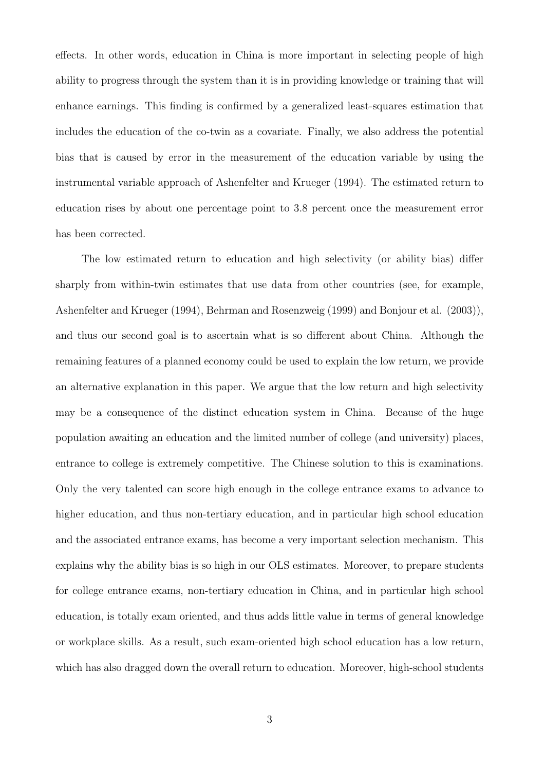effects. In other words, education in China is more important in selecting people of high ability to progress through the system than it is in providing knowledge or training that will enhance earnings. This finding is confirmed by a generalized least-squares estimation that includes the education of the co-twin as a covariate. Finally, we also address the potential bias that is caused by error in the measurement of the education variable by using the instrumental variable approach of Ashenfelter and Krueger (1994). The estimated return to education rises by about one percentage point to 3.8 percent once the measurement error has been corrected.

The low estimated return to education and high selectivity (or ability bias) differ sharply from within-twin estimates that use data from other countries (see, for example, Ashenfelter and Krueger (1994), Behrman and Rosenzweig (1999) and Bonjour et al. (2003)), and thus our second goal is to ascertain what is so different about China. Although the remaining features of a planned economy could be used to explain the low return, we provide an alternative explanation in this paper. We argue that the low return and high selectivity may be a consequence of the distinct education system in China. Because of the huge population awaiting an education and the limited number of college (and university) places, entrance to college is extremely competitive. The Chinese solution to this is examinations. Only the very talented can score high enough in the college entrance exams to advance to higher education, and thus non-tertiary education, and in particular high school education and the associated entrance exams, has become a very important selection mechanism. This explains why the ability bias is so high in our OLS estimates. Moreover, to prepare students for college entrance exams, non-tertiary education in China, and in particular high school education, is totally exam oriented, and thus adds little value in terms of general knowledge or workplace skills. As a result, such exam-oriented high school education has a low return, which has also dragged down the overall return to education. Moreover, high-school students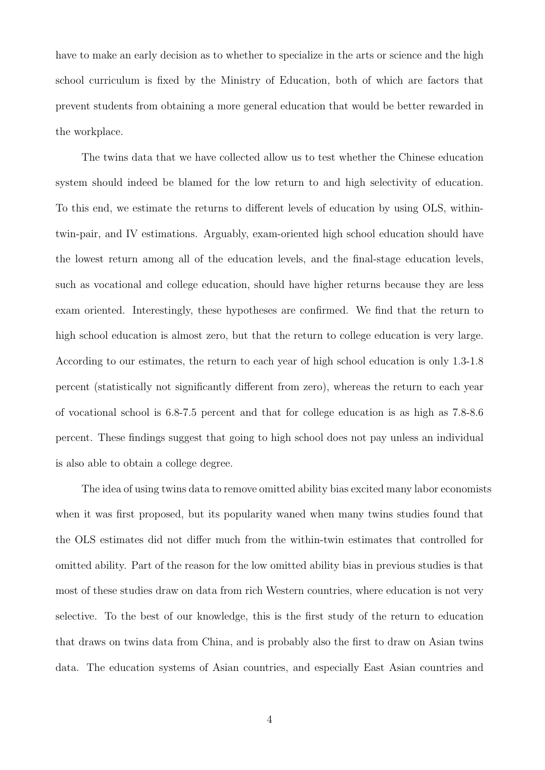have to make an early decision as to whether to specialize in the arts or science and the high school curriculum is fixed by the Ministry of Education, both of which are factors that prevent students from obtaining a more general education that would be better rewarded in the workplace.

The twins data that we have collected allow us to test whether the Chinese education system should indeed be blamed for the low return to and high selectivity of education. To this end, we estimate the returns to different levels of education by using OLS, withintwin-pair, and IV estimations. Arguably, exam-oriented high school education should have the lowest return among all of the education levels, and the final-stage education levels, such as vocational and college education, should have higher returns because they are less exam oriented. Interestingly, these hypotheses are confirmed. We find that the return to high school education is almost zero, but that the return to college education is very large. According to our estimates, the return to each year of high school education is only 1.3-1.8 percent (statistically not significantly different from zero), whereas the return to each year of vocational school is 6.8-7.5 percent and that for college education is as high as 7.8-8.6 percent. These findings suggest that going to high school does not pay unless an individual is also able to obtain a college degree.

The idea of using twins data to remove omitted ability bias excited many labor economists when it was first proposed, but its popularity waned when many twins studies found that the OLS estimates did not differ much from the within-twin estimates that controlled for omitted ability. Part of the reason for the low omitted ability bias in previous studies is that most of these studies draw on data from rich Western countries, where education is not very selective. To the best of our knowledge, this is the first study of the return to education that draws on twins data from China, and is probably also the first to draw on Asian twins data. The education systems of Asian countries, and especially East Asian countries and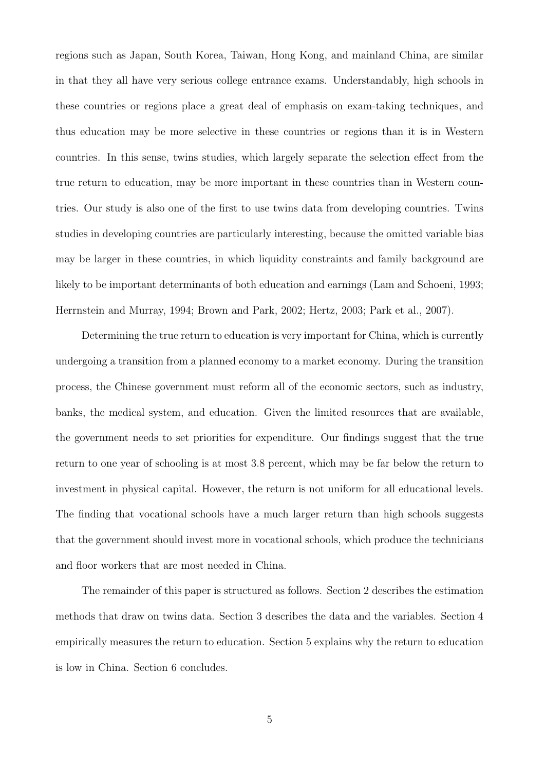regions such as Japan, South Korea, Taiwan, Hong Kong, and mainland China, are similar in that they all have very serious college entrance exams. Understandably, high schools in these countries or regions place a great deal of emphasis on exam-taking techniques, and thus education may be more selective in these countries or regions than it is in Western countries. In this sense, twins studies, which largely separate the selection effect from the true return to education, may be more important in these countries than in Western countries. Our study is also one of the first to use twins data from developing countries. Twins studies in developing countries are particularly interesting, because the omitted variable bias may be larger in these countries, in which liquidity constraints and family background are likely to be important determinants of both education and earnings (Lam and Schoeni, 1993; Herrnstein and Murray, 1994; Brown and Park, 2002; Hertz, 2003; Park et al., 2007).

Determining the true return to education is very important for China, which is currently undergoing a transition from a planned economy to a market economy. During the transition process, the Chinese government must reform all of the economic sectors, such as industry, banks, the medical system, and education. Given the limited resources that are available, the government needs to set priorities for expenditure. Our findings suggest that the true return to one year of schooling is at most 3.8 percent, which may be far below the return to investment in physical capital. However, the return is not uniform for all educational levels. The finding that vocational schools have a much larger return than high schools suggests that the government should invest more in vocational schools, which produce the technicians and floor workers that are most needed in China.

The remainder of this paper is structured as follows. Section 2 describes the estimation methods that draw on twins data. Section 3 describes the data and the variables. Section 4 empirically measures the return to education. Section 5 explains why the return to education is low in China. Section 6 concludes.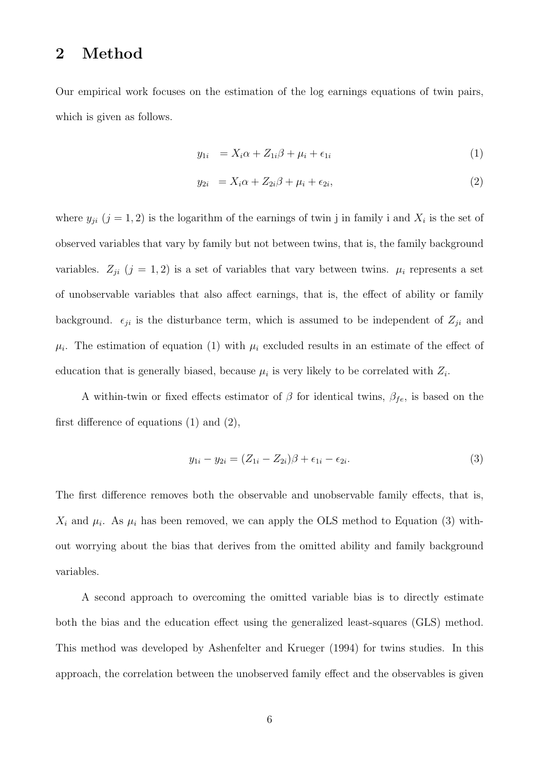## 2 Method

Our empirical work focuses on the estimation of the log earnings equations of twin pairs, which is given as follows.

$$
y_{1i} = X_i \alpha + Z_{1i} \beta + \mu_i + \epsilon_{1i} \tag{1}
$$

$$
y_{2i} = X_i \alpha + Z_{2i} \beta + \mu_i + \epsilon_{2i}, \qquad (2)
$$

where  $y_{ji}$   $(j = 1, 2)$  is the logarithm of the earnings of twin j in family i and  $X_i$  is the set of observed variables that vary by family but not between twins, that is, the family background variables.  $Z_{ji}$  (j = 1, 2) is a set of variables that vary between twins.  $\mu_i$  represents a set of unobservable variables that also affect earnings, that is, the effect of ability or family background.  $\epsilon_{ji}$  is the disturbance term, which is assumed to be independent of  $Z_{ji}$  and  $\mu_i$ . The estimation of equation (1) with  $\mu_i$  excluded results in an estimate of the effect of education that is generally biased, because  $\mu_i$  is very likely to be correlated with  $Z_i$ .

A within-twin or fixed effects estimator of  $\beta$  for identical twins,  $\beta_{fe}$ , is based on the first difference of equations (1) and (2),

$$
y_{1i} - y_{2i} = (Z_{1i} - Z_{2i})\beta + \epsilon_{1i} - \epsilon_{2i}.
$$
\n(3)

The first difference removes both the observable and unobservable family effects, that is,  $X_i$  and  $\mu_i$ . As  $\mu_i$  has been removed, we can apply the OLS method to Equation (3) without worrying about the bias that derives from the omitted ability and family background variables.

A second approach to overcoming the omitted variable bias is to directly estimate both the bias and the education effect using the generalized least-squares (GLS) method. This method was developed by Ashenfelter and Krueger (1994) for twins studies. In this approach, the correlation between the unobserved family effect and the observables is given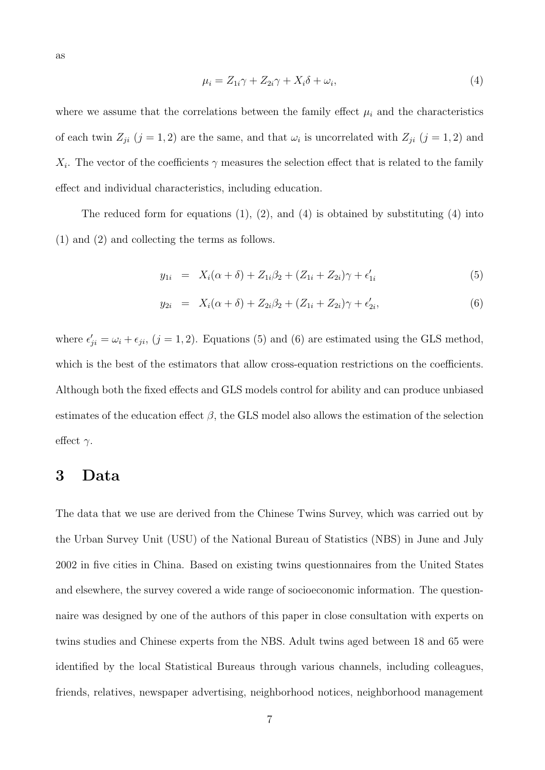$$
\mu_i = Z_{1i}\gamma + Z_{2i}\gamma + X_i\delta + \omega_i,\tag{4}
$$

where we assume that the correlations between the family effect  $\mu_i$  and the characteristics of each twin  $Z_{ji}$   $(j = 1, 2)$  are the same, and that  $\omega_i$  is uncorrelated with  $Z_{ji}$   $(j = 1, 2)$  and  $X_i$ . The vector of the coefficients  $\gamma$  measures the selection effect that is related to the family effect and individual characteristics, including education.

The reduced form for equations  $(1)$ ,  $(2)$ , and  $(4)$  is obtained by substituting  $(4)$  into (1) and (2) and collecting the terms as follows.

$$
y_{1i} = X_i(\alpha + \delta) + Z_{1i}\beta_2 + (Z_{1i} + Z_{2i})\gamma + \epsilon'_{1i}
$$
\n(5)

$$
y_{2i} = X_i(\alpha + \delta) + Z_{2i}\beta_2 + (Z_{1i} + Z_{2i})\gamma + \epsilon'_{2i},
$$
\n(6)

where  $\epsilon'_{ji} = \omega_i + \epsilon_{ji}$ ,  $(j = 1, 2)$ . Equations (5) and (6) are estimated using the GLS method, which is the best of the estimators that allow cross-equation restrictions on the coefficients. Although both the fixed effects and GLS models control for ability and can produce unbiased estimates of the education effect  $\beta$ , the GLS model also allows the estimation of the selection effect  $\gamma$ .

### 3 Data

The data that we use are derived from the Chinese Twins Survey, which was carried out by the Urban Survey Unit (USU) of the National Bureau of Statistics (NBS) in June and July 2002 in five cities in China. Based on existing twins questionnaires from the United States and elsewhere, the survey covered a wide range of socioeconomic information. The questionnaire was designed by one of the authors of this paper in close consultation with experts on twins studies and Chinese experts from the NBS. Adult twins aged between 18 and 65 were identified by the local Statistical Bureaus through various channels, including colleagues, friends, relatives, newspaper advertising, neighborhood notices, neighborhood management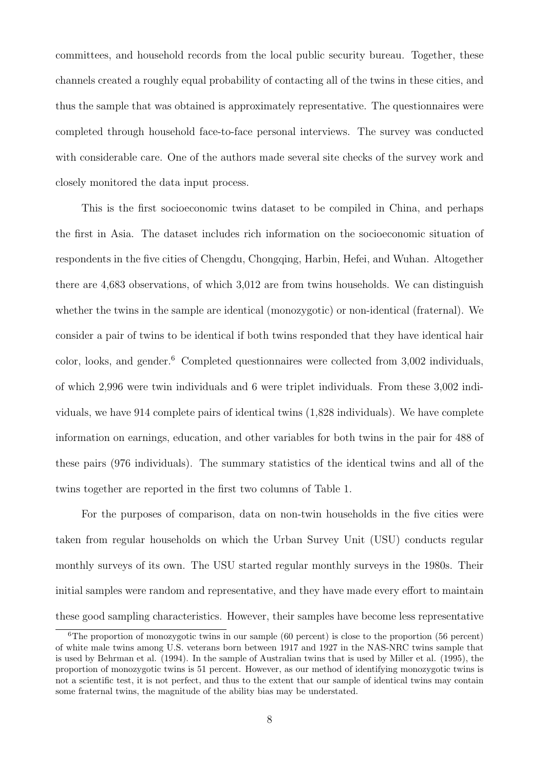committees, and household records from the local public security bureau. Together, these channels created a roughly equal probability of contacting all of the twins in these cities, and thus the sample that was obtained is approximately representative. The questionnaires were completed through household face-to-face personal interviews. The survey was conducted with considerable care. One of the authors made several site checks of the survey work and closely monitored the data input process.

This is the first socioeconomic twins dataset to be compiled in China, and perhaps the first in Asia. The dataset includes rich information on the socioeconomic situation of respondents in the five cities of Chengdu, Chongqing, Harbin, Hefei, and Wuhan. Altogether there are 4,683 observations, of which 3,012 are from twins households. We can distinguish whether the twins in the sample are identical (monozygotic) or non-identical (fraternal). We consider a pair of twins to be identical if both twins responded that they have identical hair color, looks, and gender.<sup>6</sup> Completed questionnaires were collected from 3,002 individuals, of which 2,996 were twin individuals and 6 were triplet individuals. From these 3,002 individuals, we have 914 complete pairs of identical twins (1,828 individuals). We have complete information on earnings, education, and other variables for both twins in the pair for 488 of these pairs (976 individuals). The summary statistics of the identical twins and all of the twins together are reported in the first two columns of Table 1.

For the purposes of comparison, data on non-twin households in the five cities were taken from regular households on which the Urban Survey Unit (USU) conducts regular monthly surveys of its own. The USU started regular monthly surveys in the 1980s. Their initial samples were random and representative, and they have made every effort to maintain these good sampling characteristics. However, their samples have become less representative

<sup>&</sup>lt;sup>6</sup>The proportion of monozygotic twins in our sample  $(60 \text{ percent})$  is close to the proportion  $(56 \text{ percent})$ of white male twins among U.S. veterans born between 1917 and 1927 in the NAS-NRC twins sample that is used by Behrman et al. (1994). In the sample of Australian twins that is used by Miller et al. (1995), the proportion of monozygotic twins is 51 percent. However, as our method of identifying monozygotic twins is not a scientific test, it is not perfect, and thus to the extent that our sample of identical twins may contain some fraternal twins, the magnitude of the ability bias may be understated.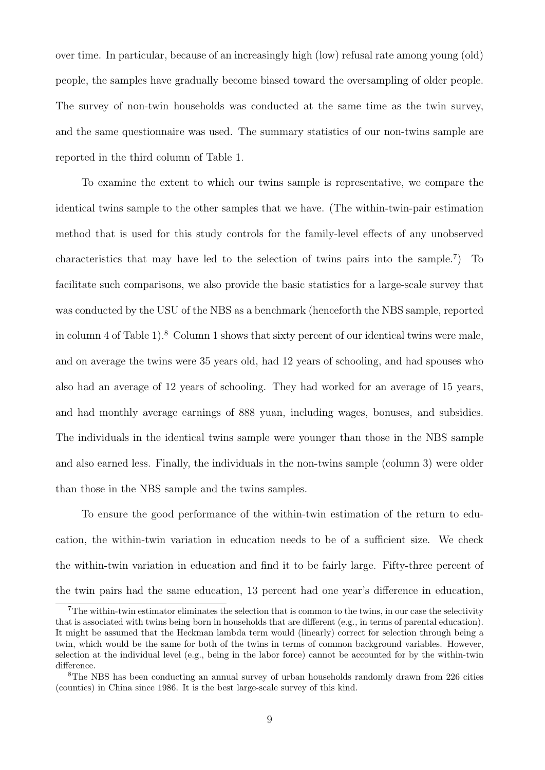over time. In particular, because of an increasingly high (low) refusal rate among young (old) people, the samples have gradually become biased toward the oversampling of older people. The survey of non-twin households was conducted at the same time as the twin survey, and the same questionnaire was used. The summary statistics of our non-twins sample are reported in the third column of Table 1.

To examine the extent to which our twins sample is representative, we compare the identical twins sample to the other samples that we have. (The within-twin-pair estimation method that is used for this study controls for the family-level effects of any unobserved characteristics that may have led to the selection of twins pairs into the sample.<sup>7</sup> ) To facilitate such comparisons, we also provide the basic statistics for a large-scale survey that was conducted by the USU of the NBS as a benchmark (henceforth the NBS sample, reported in column 4 of Table 1).<sup>8</sup> Column 1 shows that sixty percent of our identical twins were male, and on average the twins were 35 years old, had 12 years of schooling, and had spouses who also had an average of 12 years of schooling. They had worked for an average of 15 years, and had monthly average earnings of 888 yuan, including wages, bonuses, and subsidies. The individuals in the identical twins sample were younger than those in the NBS sample and also earned less. Finally, the individuals in the non-twins sample (column 3) were older than those in the NBS sample and the twins samples.

To ensure the good performance of the within-twin estimation of the return to education, the within-twin variation in education needs to be of a sufficient size. We check the within-twin variation in education and find it to be fairly large. Fifty-three percent of the twin pairs had the same education, 13 percent had one year's difference in education,

<sup>7</sup>The within-twin estimator eliminates the selection that is common to the twins, in our case the selectivity that is associated with twins being born in households that are different (e.g., in terms of parental education). It might be assumed that the Heckman lambda term would (linearly) correct for selection through being a twin, which would be the same for both of the twins in terms of common background variables. However, selection at the individual level (e.g., being in the labor force) cannot be accounted for by the within-twin difference.

<sup>8</sup>The NBS has been conducting an annual survey of urban households randomly drawn from 226 cities (counties) in China since 1986. It is the best large-scale survey of this kind.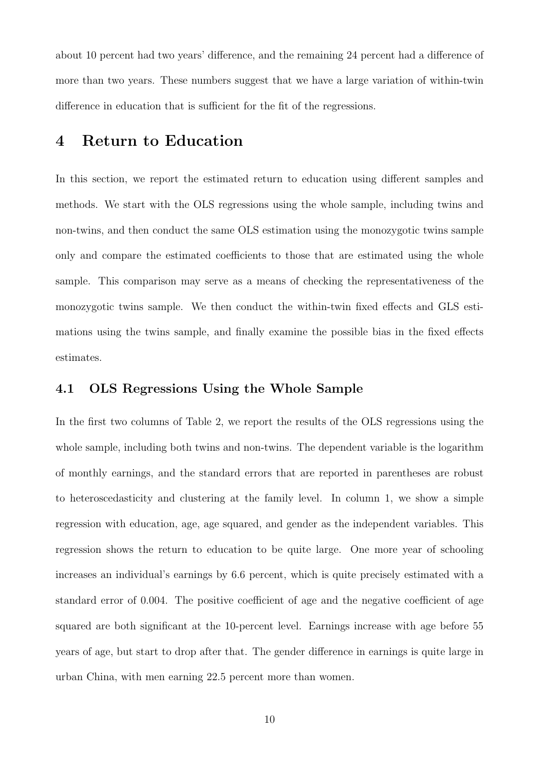about 10 percent had two years' difference, and the remaining 24 percent had a difference of more than two years. These numbers suggest that we have a large variation of within-twin difference in education that is sufficient for the fit of the regressions.

# 4 Return to Education

In this section, we report the estimated return to education using different samples and methods. We start with the OLS regressions using the whole sample, including twins and non-twins, and then conduct the same OLS estimation using the monozygotic twins sample only and compare the estimated coefficients to those that are estimated using the whole sample. This comparison may serve as a means of checking the representativeness of the monozygotic twins sample. We then conduct the within-twin fixed effects and GLS estimations using the twins sample, and finally examine the possible bias in the fixed effects estimates.

### 4.1 OLS Regressions Using the Whole Sample

In the first two columns of Table 2, we report the results of the OLS regressions using the whole sample, including both twins and non-twins. The dependent variable is the logarithm of monthly earnings, and the standard errors that are reported in parentheses are robust to heteroscedasticity and clustering at the family level. In column 1, we show a simple regression with education, age, age squared, and gender as the independent variables. This regression shows the return to education to be quite large. One more year of schooling increases an individual's earnings by 6.6 percent, which is quite precisely estimated with a standard error of 0.004. The positive coefficient of age and the negative coefficient of age squared are both significant at the 10-percent level. Earnings increase with age before 55 years of age, but start to drop after that. The gender difference in earnings is quite large in urban China, with men earning 22.5 percent more than women.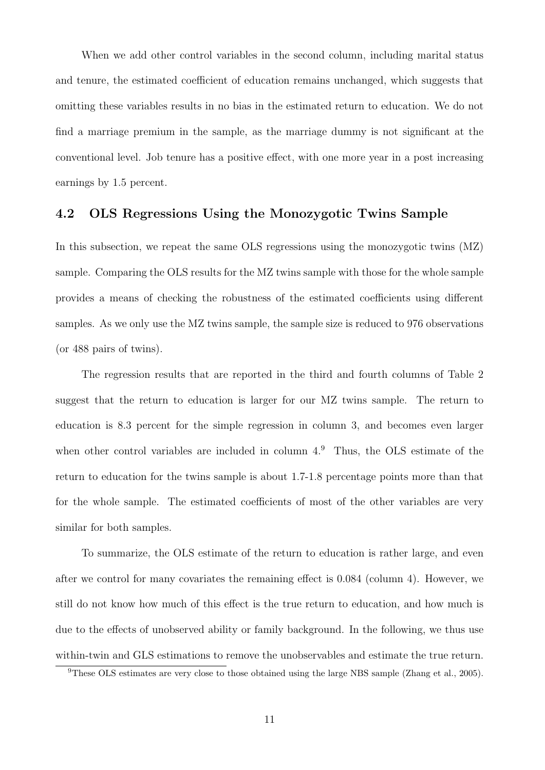When we add other control variables in the second column, including marital status and tenure, the estimated coefficient of education remains unchanged, which suggests that omitting these variables results in no bias in the estimated return to education. We do not find a marriage premium in the sample, as the marriage dummy is not significant at the conventional level. Job tenure has a positive effect, with one more year in a post increasing earnings by 1.5 percent.

#### 4.2 OLS Regressions Using the Monozygotic Twins Sample

In this subsection, we repeat the same OLS regressions using the monozygotic twins  $(MZ)$ sample. Comparing the OLS results for the MZ twins sample with those for the whole sample provides a means of checking the robustness of the estimated coefficients using different samples. As we only use the MZ twins sample, the sample size is reduced to 976 observations (or 488 pairs of twins).

The regression results that are reported in the third and fourth columns of Table 2 suggest that the return to education is larger for our MZ twins sample. The return to education is 8.3 percent for the simple regression in column 3, and becomes even larger when other control variables are included in column  $4<sup>9</sup>$ . Thus, the OLS estimate of the return to education for the twins sample is about 1.7-1.8 percentage points more than that for the whole sample. The estimated coefficients of most of the other variables are very similar for both samples.

To summarize, the OLS estimate of the return to education is rather large, and even after we control for many covariates the remaining effect is 0.084 (column 4). However, we still do not know how much of this effect is the true return to education, and how much is due to the effects of unobserved ability or family background. In the following, we thus use within-twin and GLS estimations to remove the unobservables and estimate the true return.

<sup>9</sup>These OLS estimates are very close to those obtained using the large NBS sample (Zhang et al., 2005).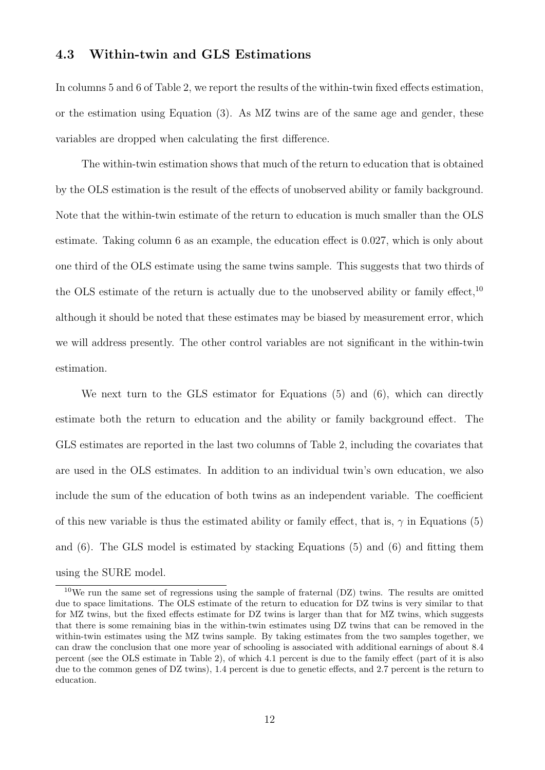### 4.3 Within-twin and GLS Estimations

In columns 5 and 6 of Table 2, we report the results of the within-twin fixed effects estimation, or the estimation using Equation (3). As MZ twins are of the same age and gender, these variables are dropped when calculating the first difference.

The within-twin estimation shows that much of the return to education that is obtained by the OLS estimation is the result of the effects of unobserved ability or family background. Note that the within-twin estimate of the return to education is much smaller than the OLS estimate. Taking column 6 as an example, the education effect is 0.027, which is only about one third of the OLS estimate using the same twins sample. This suggests that two thirds of the OLS estimate of the return is actually due to the unobserved ability or family effect,<sup>10</sup> although it should be noted that these estimates may be biased by measurement error, which we will address presently. The other control variables are not significant in the within-twin estimation.

We next turn to the GLS estimator for Equations (5) and (6), which can directly estimate both the return to education and the ability or family background effect. The GLS estimates are reported in the last two columns of Table 2, including the covariates that are used in the OLS estimates. In addition to an individual twin's own education, we also include the sum of the education of both twins as an independent variable. The coefficient of this new variable is thus the estimated ability or family effect, that is,  $\gamma$  in Equations (5) and (6). The GLS model is estimated by stacking Equations (5) and (6) and fitting them using the SURE model.

<sup>10</sup>We run the same set of regressions using the sample of fraternal (DZ) twins. The results are omitted due to space limitations. The OLS estimate of the return to education for DZ twins is very similar to that for MZ twins, but the fixed effects estimate for DZ twins is larger than that for MZ twins, which suggests that there is some remaining bias in the within-twin estimates using DZ twins that can be removed in the within-twin estimates using the MZ twins sample. By taking estimates from the two samples together, we can draw the conclusion that one more year of schooling is associated with additional earnings of about 8.4 percent (see the OLS estimate in Table 2), of which 4.1 percent is due to the family effect (part of it is also due to the common genes of DZ twins), 1.4 percent is due to genetic effects, and 2.7 percent is the return to education.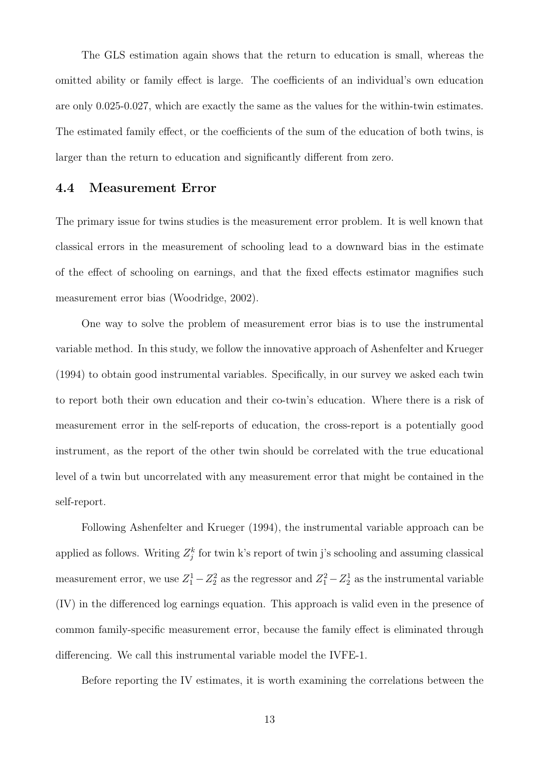The GLS estimation again shows that the return to education is small, whereas the omitted ability or family effect is large. The coefficients of an individual's own education are only 0.025-0.027, which are exactly the same as the values for the within-twin estimates. The estimated family effect, or the coefficients of the sum of the education of both twins, is larger than the return to education and significantly different from zero.

#### 4.4 Measurement Error

The primary issue for twins studies is the measurement error problem. It is well known that classical errors in the measurement of schooling lead to a downward bias in the estimate of the effect of schooling on earnings, and that the fixed effects estimator magnifies such measurement error bias (Woodridge, 2002).

One way to solve the problem of measurement error bias is to use the instrumental variable method. In this study, we follow the innovative approach of Ashenfelter and Krueger (1994) to obtain good instrumental variables. Specifically, in our survey we asked each twin to report both their own education and their co-twin's education. Where there is a risk of measurement error in the self-reports of education, the cross-report is a potentially good instrument, as the report of the other twin should be correlated with the true educational level of a twin but uncorrelated with any measurement error that might be contained in the self-report.

Following Ashenfelter and Krueger (1994), the instrumental variable approach can be applied as follows. Writing  $Z_j^k$  for twin k's report of twin j's schooling and assuming classical measurement error, we use  $Z_1^1 - Z_2^2$  as the regressor and  $Z_1^2 - Z_2^1$  as the instrumental variable (IV) in the differenced log earnings equation. This approach is valid even in the presence of common family-specific measurement error, because the family effect is eliminated through differencing. We call this instrumental variable model the IVFE-1.

Before reporting the IV estimates, it is worth examining the correlations between the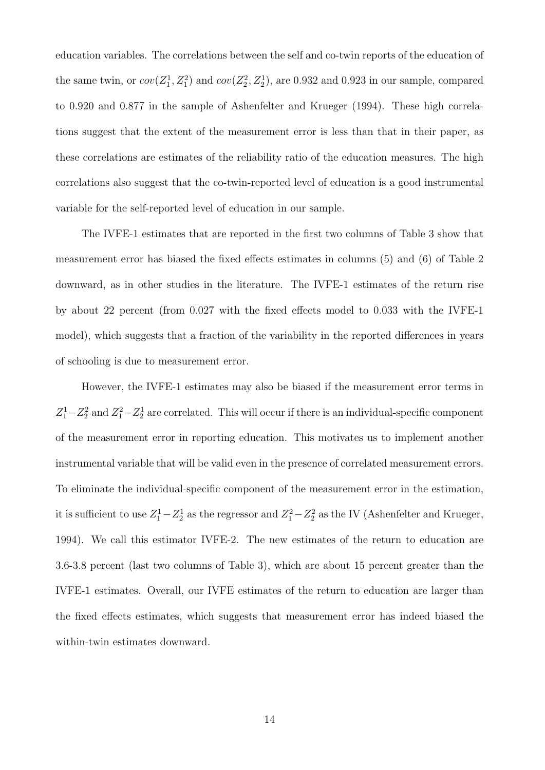education variables. The correlations between the self and co-twin reports of the education of the same twin, or  $cov(Z_1^1, Z_1^2)$  and  $cov(Z_2^2, Z_2^1)$ , are 0.932 and 0.923 in our sample, compared to 0.920 and 0.877 in the sample of Ashenfelter and Krueger (1994). These high correlations suggest that the extent of the measurement error is less than that in their paper, as these correlations are estimates of the reliability ratio of the education measures. The high correlations also suggest that the co-twin-reported level of education is a good instrumental variable for the self-reported level of education in our sample.

The IVFE-1 estimates that are reported in the first two columns of Table 3 show that measurement error has biased the fixed effects estimates in columns (5) and (6) of Table 2 downward, as in other studies in the literature. The IVFE-1 estimates of the return rise by about 22 percent (from 0.027 with the fixed effects model to 0.033 with the IVFE-1 model), which suggests that a fraction of the variability in the reported differences in years of schooling is due to measurement error.

However, the IVFE-1 estimates may also be biased if the measurement error terms in  $Z_1^1 - Z_2^2$  and  $Z_1^2 - Z_2^1$  are correlated. This will occur if there is an individual-specific component of the measurement error in reporting education. This motivates us to implement another instrumental variable that will be valid even in the presence of correlated measurement errors. To eliminate the individual-specific component of the measurement error in the estimation, it is sufficient to use  $Z_1^1 - Z_2^1$  as the regressor and  $Z_1^2 - Z_2^2$  as the IV (Ashenfelter and Krueger, 1994). We call this estimator IVFE-2. The new estimates of the return to education are 3.6-3.8 percent (last two columns of Table 3), which are about 15 percent greater than the IVFE-1 estimates. Overall, our IVFE estimates of the return to education are larger than the fixed effects estimates, which suggests that measurement error has indeed biased the within-twin estimates downward.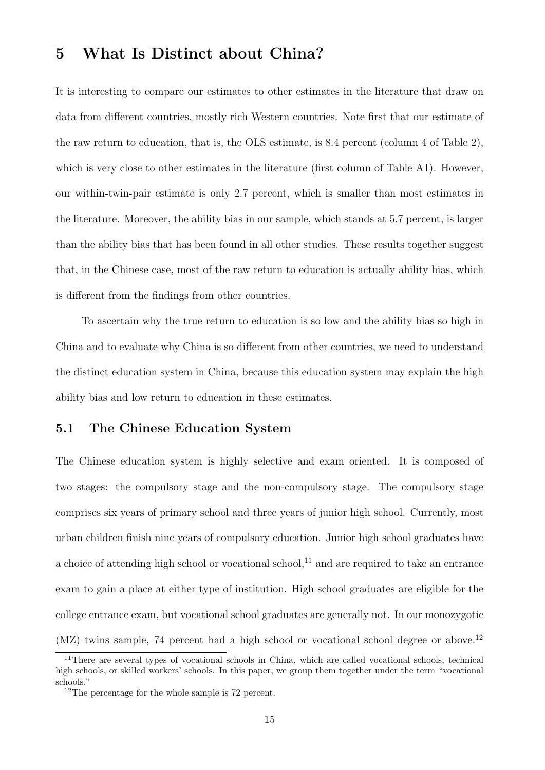# 5 What Is Distinct about China?

It is interesting to compare our estimates to other estimates in the literature that draw on data from different countries, mostly rich Western countries. Note first that our estimate of the raw return to education, that is, the OLS estimate, is 8.4 percent (column 4 of Table 2), which is very close to other estimates in the literature (first column of Table A1). However, our within-twin-pair estimate is only 2.7 percent, which is smaller than most estimates in the literature. Moreover, the ability bias in our sample, which stands at 5.7 percent, is larger than the ability bias that has been found in all other studies. These results together suggest that, in the Chinese case, most of the raw return to education is actually ability bias, which is different from the findings from other countries.

To ascertain why the true return to education is so low and the ability bias so high in China and to evaluate why China is so different from other countries, we need to understand the distinct education system in China, because this education system may explain the high ability bias and low return to education in these estimates.

#### 5.1 The Chinese Education System

The Chinese education system is highly selective and exam oriented. It is composed of two stages: the compulsory stage and the non-compulsory stage. The compulsory stage comprises six years of primary school and three years of junior high school. Currently, most urban children finish nine years of compulsory education. Junior high school graduates have a choice of attending high school or vocational school, $^{11}$  and are required to take an entrance exam to gain a place at either type of institution. High school graduates are eligible for the college entrance exam, but vocational school graduates are generally not. In our monozygotic (MZ) twins sample, 74 percent had a high school or vocational school degree or above.<sup>12</sup>

<sup>11</sup>There are several types of vocational schools in China, which are called vocational schools, technical high schools, or skilled workers' schools. In this paper, we group them together under the term "vocational" schools."

<sup>12</sup>The percentage for the whole sample is 72 percent.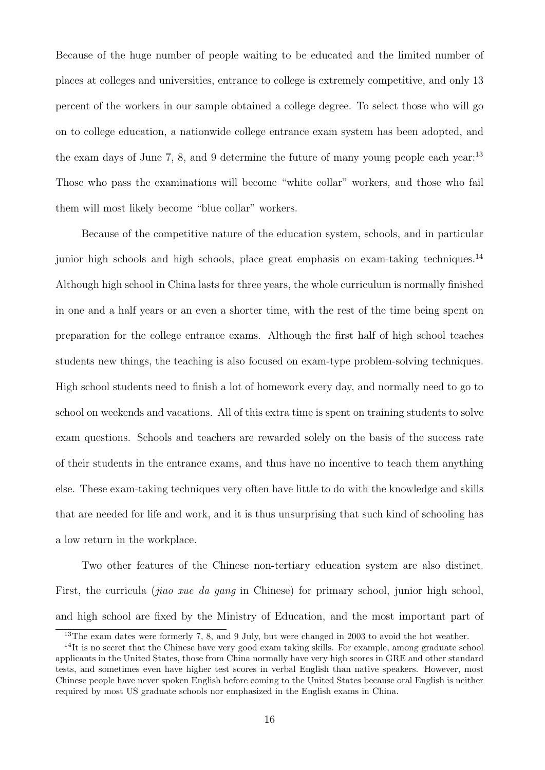Because of the huge number of people waiting to be educated and the limited number of places at colleges and universities, entrance to college is extremely competitive, and only 13 percent of the workers in our sample obtained a college degree. To select those who will go on to college education, a nationwide college entrance exam system has been adopted, and the exam days of June 7, 8, and 9 determine the future of many young people each year.<sup>13</sup> Those who pass the examinations will become "white collar" workers, and those who fail them will most likely become "blue collar" workers.

Because of the competitive nature of the education system, schools, and in particular junior high schools and high schools, place great emphasis on exam-taking techniques.<sup>14</sup> Although high school in China lasts for three years, the whole curriculum is normally finished in one and a half years or an even a shorter time, with the rest of the time being spent on preparation for the college entrance exams. Although the first half of high school teaches students new things, the teaching is also focused on exam-type problem-solving techniques. High school students need to finish a lot of homework every day, and normally need to go to school on weekends and vacations. All of this extra time is spent on training students to solve exam questions. Schools and teachers are rewarded solely on the basis of the success rate of their students in the entrance exams, and thus have no incentive to teach them anything else. These exam-taking techniques very often have little to do with the knowledge and skills that are needed for life and work, and it is thus unsurprising that such kind of schooling has a low return in the workplace.

Two other features of the Chinese non-tertiary education system are also distinct. First, the curricula *(jiao xue da qanq* in Chinese) for primary school, junior high school, and high school are fixed by the Ministry of Education, and the most important part of

<sup>&</sup>lt;sup>13</sup>The exam dates were formerly 7, 8, and 9 July, but were changed in 2003 to avoid the hot weather.

<sup>&</sup>lt;sup>14</sup>It is no secret that the Chinese have very good exam taking skills. For example, among graduate school applicants in the United States, those from China normally have very high scores in GRE and other standard tests, and sometimes even have higher test scores in verbal English than native speakers. However, most Chinese people have never spoken English before coming to the United States because oral English is neither required by most US graduate schools nor emphasized in the English exams in China.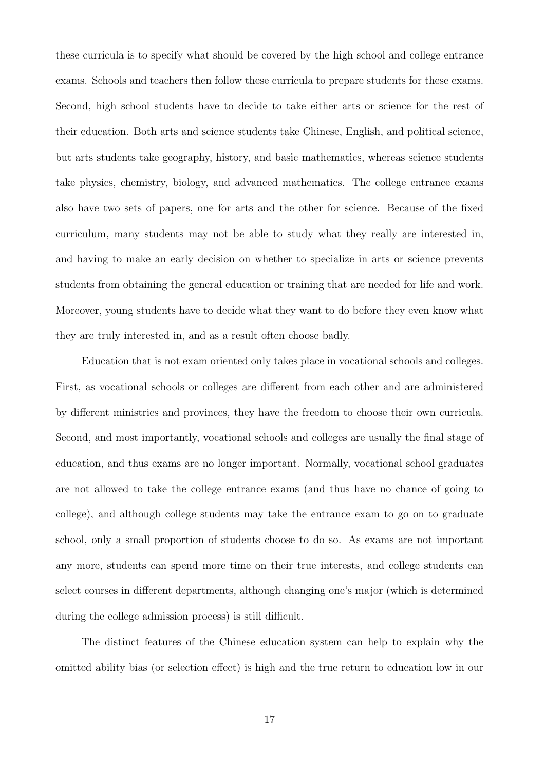these curricula is to specify what should be covered by the high school and college entrance exams. Schools and teachers then follow these curricula to prepare students for these exams. Second, high school students have to decide to take either arts or science for the rest of their education. Both arts and science students take Chinese, English, and political science, but arts students take geography, history, and basic mathematics, whereas science students take physics, chemistry, biology, and advanced mathematics. The college entrance exams also have two sets of papers, one for arts and the other for science. Because of the fixed curriculum, many students may not be able to study what they really are interested in, and having to make an early decision on whether to specialize in arts or science prevents students from obtaining the general education or training that are needed for life and work. Moreover, young students have to decide what they want to do before they even know what they are truly interested in, and as a result often choose badly.

Education that is not exam oriented only takes place in vocational schools and colleges. First, as vocational schools or colleges are different from each other and are administered by different ministries and provinces, they have the freedom to choose their own curricula. Second, and most importantly, vocational schools and colleges are usually the final stage of education, and thus exams are no longer important. Normally, vocational school graduates are not allowed to take the college entrance exams (and thus have no chance of going to college), and although college students may take the entrance exam to go on to graduate school, only a small proportion of students choose to do so. As exams are not important any more, students can spend more time on their true interests, and college students can select courses in different departments, although changing one's major (which is determined during the college admission process) is still difficult.

The distinct features of the Chinese education system can help to explain why the omitted ability bias (or selection effect) is high and the true return to education low in our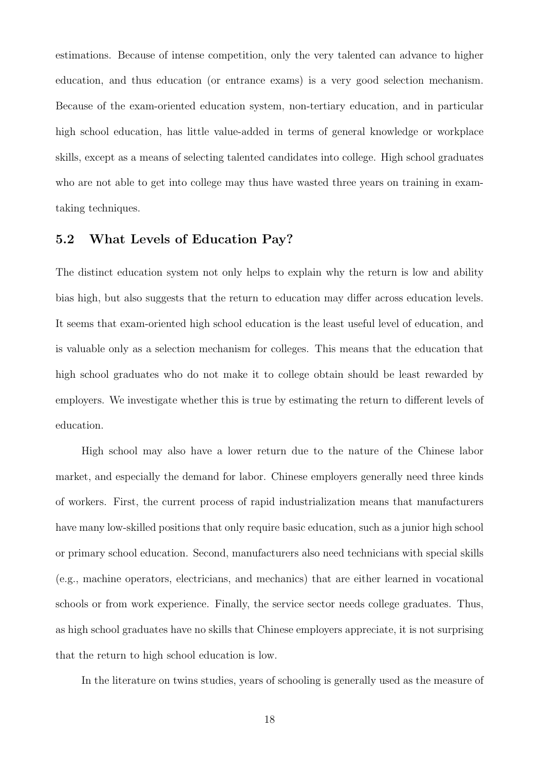estimations. Because of intense competition, only the very talented can advance to higher education, and thus education (or entrance exams) is a very good selection mechanism. Because of the exam-oriented education system, non-tertiary education, and in particular high school education, has little value-added in terms of general knowledge or workplace skills, except as a means of selecting talented candidates into college. High school graduates who are not able to get into college may thus have wasted three years on training in examtaking techniques.

### 5.2 What Levels of Education Pay?

The distinct education system not only helps to explain why the return is low and ability bias high, but also suggests that the return to education may differ across education levels. It seems that exam-oriented high school education is the least useful level of education, and is valuable only as a selection mechanism for colleges. This means that the education that high school graduates who do not make it to college obtain should be least rewarded by employers. We investigate whether this is true by estimating the return to different levels of education.

High school may also have a lower return due to the nature of the Chinese labor market, and especially the demand for labor. Chinese employers generally need three kinds of workers. First, the current process of rapid industrialization means that manufacturers have many low-skilled positions that only require basic education, such as a junior high school or primary school education. Second, manufacturers also need technicians with special skills (e.g., machine operators, electricians, and mechanics) that are either learned in vocational schools or from work experience. Finally, the service sector needs college graduates. Thus, as high school graduates have no skills that Chinese employers appreciate, it is not surprising that the return to high school education is low.

In the literature on twins studies, years of schooling is generally used as the measure of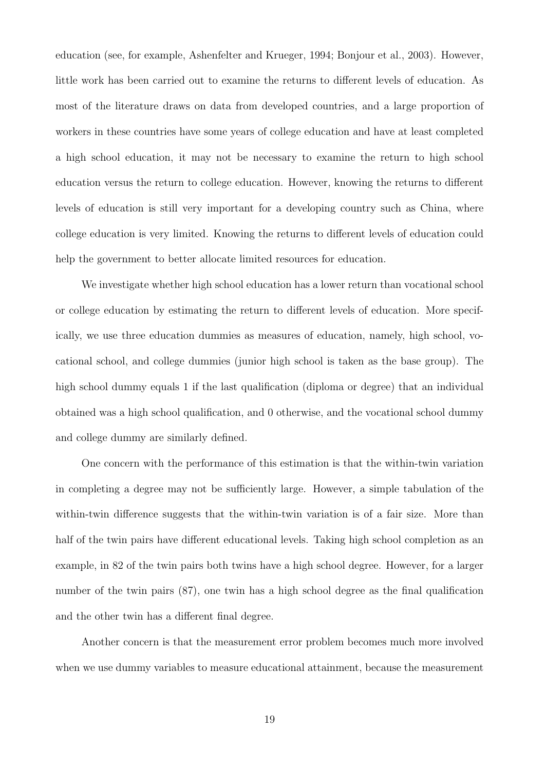education (see, for example, Ashenfelter and Krueger, 1994; Bonjour et al., 2003). However, little work has been carried out to examine the returns to different levels of education. As most of the literature draws on data from developed countries, and a large proportion of workers in these countries have some years of college education and have at least completed a high school education, it may not be necessary to examine the return to high school education versus the return to college education. However, knowing the returns to different levels of education is still very important for a developing country such as China, where college education is very limited. Knowing the returns to different levels of education could help the government to better allocate limited resources for education.

We investigate whether high school education has a lower return than vocational school or college education by estimating the return to different levels of education. More specifically, we use three education dummies as measures of education, namely, high school, vocational school, and college dummies (junior high school is taken as the base group). The high school dummy equals 1 if the last qualification (diploma or degree) that an individual obtained was a high school qualification, and 0 otherwise, and the vocational school dummy and college dummy are similarly defined.

One concern with the performance of this estimation is that the within-twin variation in completing a degree may not be sufficiently large. However, a simple tabulation of the within-twin difference suggests that the within-twin variation is of a fair size. More than half of the twin pairs have different educational levels. Taking high school completion as an example, in 82 of the twin pairs both twins have a high school degree. However, for a larger number of the twin pairs (87), one twin has a high school degree as the final qualification and the other twin has a different final degree.

Another concern is that the measurement error problem becomes much more involved when we use dummy variables to measure educational attainment, because the measurement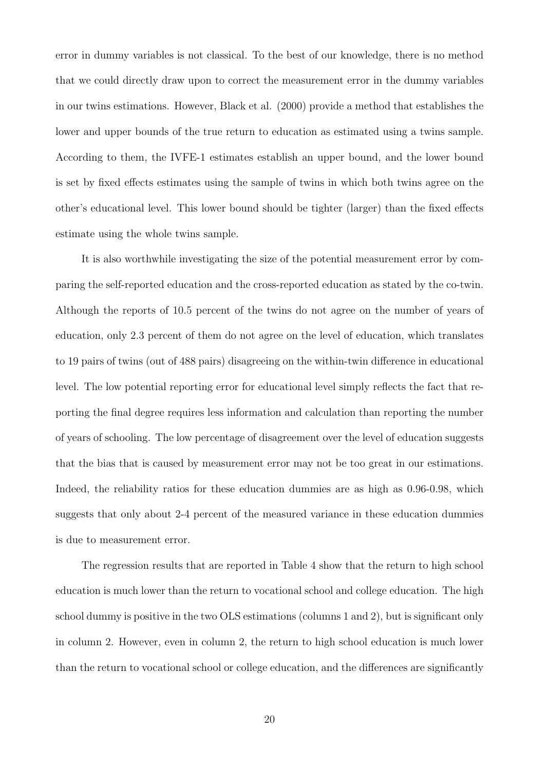error in dummy variables is not classical. To the best of our knowledge, there is no method that we could directly draw upon to correct the measurement error in the dummy variables in our twins estimations. However, Black et al. (2000) provide a method that establishes the lower and upper bounds of the true return to education as estimated using a twins sample. According to them, the IVFE-1 estimates establish an upper bound, and the lower bound is set by fixed effects estimates using the sample of twins in which both twins agree on the other's educational level. This lower bound should be tighter (larger) than the fixed effects estimate using the whole twins sample.

It is also worthwhile investigating the size of the potential measurement error by comparing the self-reported education and the cross-reported education as stated by the co-twin. Although the reports of 10.5 percent of the twins do not agree on the number of years of education, only 2.3 percent of them do not agree on the level of education, which translates to 19 pairs of twins (out of 488 pairs) disagreeing on the within-twin difference in educational level. The low potential reporting error for educational level simply reflects the fact that reporting the final degree requires less information and calculation than reporting the number of years of schooling. The low percentage of disagreement over the level of education suggests that the bias that is caused by measurement error may not be too great in our estimations. Indeed, the reliability ratios for these education dummies are as high as 0.96-0.98, which suggests that only about 2-4 percent of the measured variance in these education dummies is due to measurement error.

The regression results that are reported in Table 4 show that the return to high school education is much lower than the return to vocational school and college education. The high school dummy is positive in the two OLS estimations (columns 1 and 2), but is significant only in column 2. However, even in column 2, the return to high school education is much lower than the return to vocational school or college education, and the differences are significantly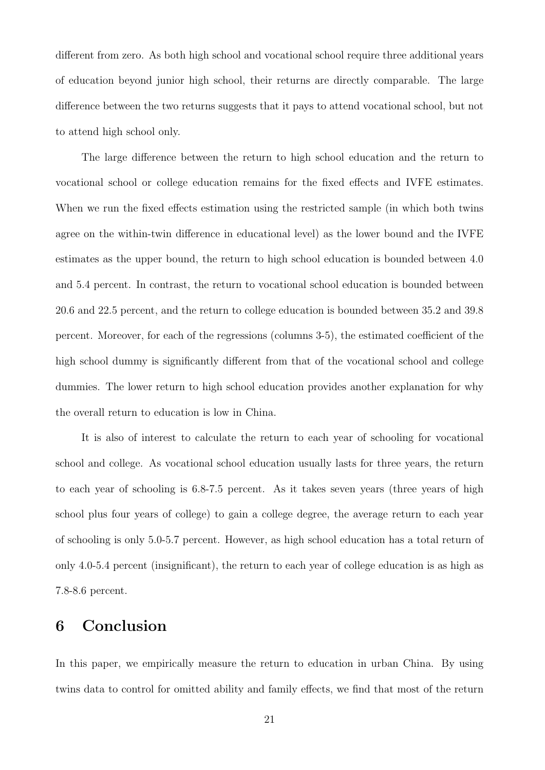different from zero. As both high school and vocational school require three additional years of education beyond junior high school, their returns are directly comparable. The large difference between the two returns suggests that it pays to attend vocational school, but not to attend high school only.

The large difference between the return to high school education and the return to vocational school or college education remains for the fixed effects and IVFE estimates. When we run the fixed effects estimation using the restricted sample (in which both twins agree on the within-twin difference in educational level) as the lower bound and the IVFE estimates as the upper bound, the return to high school education is bounded between 4.0 and 5.4 percent. In contrast, the return to vocational school education is bounded between 20.6 and 22.5 percent, and the return to college education is bounded between 35.2 and 39.8 percent. Moreover, for each of the regressions (columns 3-5), the estimated coefficient of the high school dummy is significantly different from that of the vocational school and college dummies. The lower return to high school education provides another explanation for why the overall return to education is low in China.

It is also of interest to calculate the return to each year of schooling for vocational school and college. As vocational school education usually lasts for three years, the return to each year of schooling is 6.8-7.5 percent. As it takes seven years (three years of high school plus four years of college) to gain a college degree, the average return to each year of schooling is only 5.0-5.7 percent. However, as high school education has a total return of only 4.0-5.4 percent (insignificant), the return to each year of college education is as high as 7.8-8.6 percent.

### 6 Conclusion

In this paper, we empirically measure the return to education in urban China. By using twins data to control for omitted ability and family effects, we find that most of the return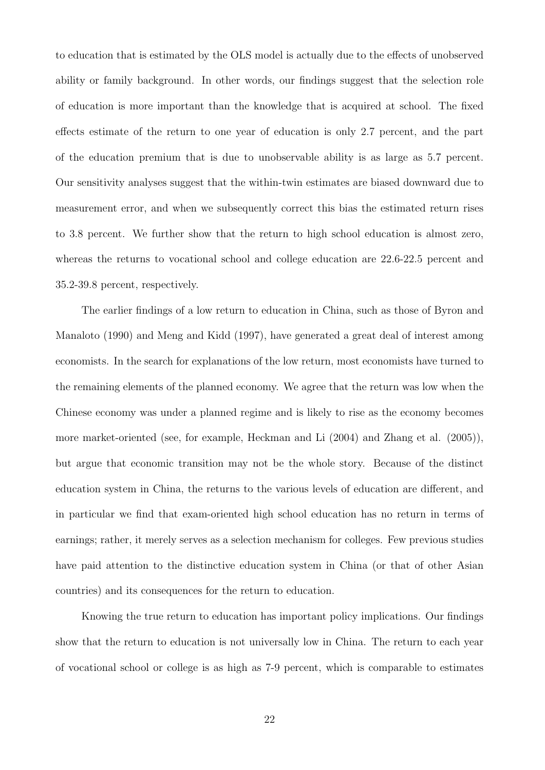to education that is estimated by the OLS model is actually due to the effects of unobserved ability or family background. In other words, our findings suggest that the selection role of education is more important than the knowledge that is acquired at school. The fixed effects estimate of the return to one year of education is only 2.7 percent, and the part of the education premium that is due to unobservable ability is as large as 5.7 percent. Our sensitivity analyses suggest that the within-twin estimates are biased downward due to measurement error, and when we subsequently correct this bias the estimated return rises to 3.8 percent. We further show that the return to high school education is almost zero, whereas the returns to vocational school and college education are 22.6-22.5 percent and 35.2-39.8 percent, respectively.

The earlier findings of a low return to education in China, such as those of Byron and Manaloto (1990) and Meng and Kidd (1997), have generated a great deal of interest among economists. In the search for explanations of the low return, most economists have turned to the remaining elements of the planned economy. We agree that the return was low when the Chinese economy was under a planned regime and is likely to rise as the economy becomes more market-oriented (see, for example, Heckman and Li (2004) and Zhang et al. (2005)), but argue that economic transition may not be the whole story. Because of the distinct education system in China, the returns to the various levels of education are different, and in particular we find that exam-oriented high school education has no return in terms of earnings; rather, it merely serves as a selection mechanism for colleges. Few previous studies have paid attention to the distinctive education system in China (or that of other Asian countries) and its consequences for the return to education.

Knowing the true return to education has important policy implications. Our findings show that the return to education is not universally low in China. The return to each year of vocational school or college is as high as 7-9 percent, which is comparable to estimates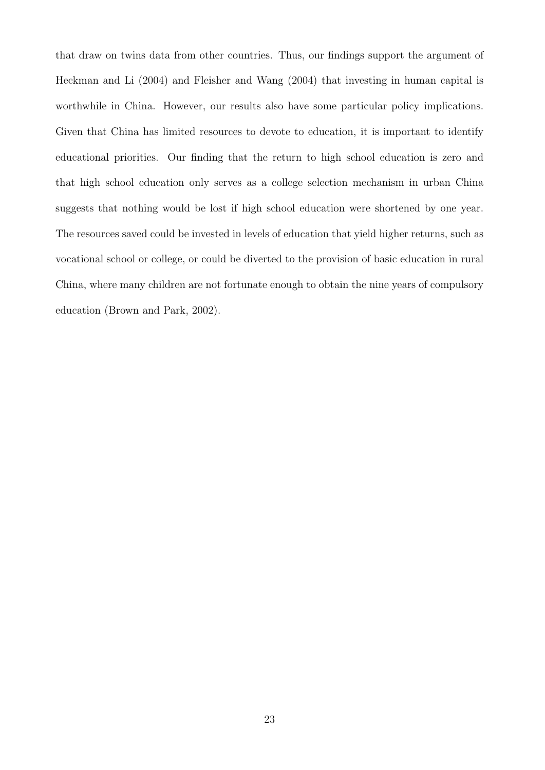that draw on twins data from other countries. Thus, our findings support the argument of Heckman and Li (2004) and Fleisher and Wang (2004) that investing in human capital is worthwhile in China. However, our results also have some particular policy implications. Given that China has limited resources to devote to education, it is important to identify educational priorities. Our finding that the return to high school education is zero and that high school education only serves as a college selection mechanism in urban China suggests that nothing would be lost if high school education were shortened by one year. The resources saved could be invested in levels of education that yield higher returns, such as vocational school or college, or could be diverted to the provision of basic education in rural China, where many children are not fortunate enough to obtain the nine years of compulsory education (Brown and Park, 2002).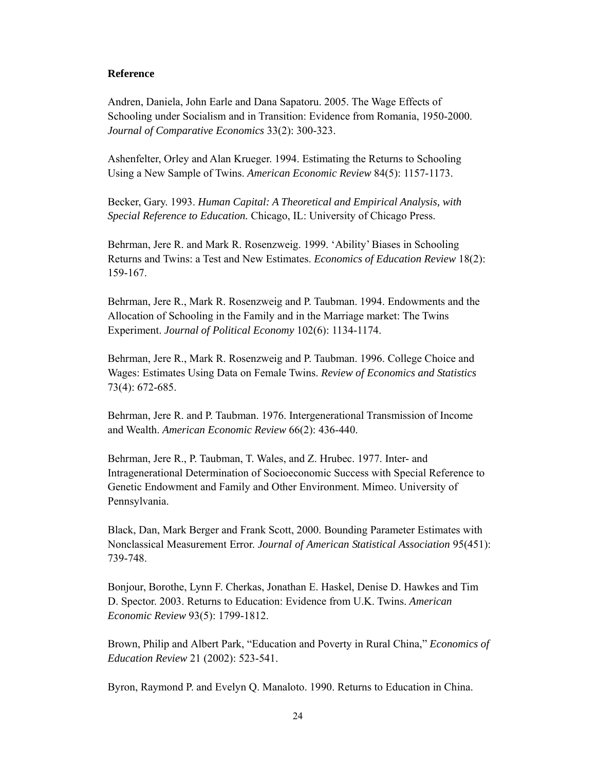#### **Reference**

Andren, Daniela, John Earle and Dana Sapatoru. 2005. The Wage Effects of Schooling under Socialism and in Transition: Evidence from Romania, 1950-2000. *Journal of Comparative Economics* 33(2): 300-323.

Ashenfelter, Orley and Alan Krueger. 1994. Estimating the Returns to Schooling Using a New Sample of Twins. *American Economic Review* 84(5): 1157-1173.

Becker, Gary. 1993. *Human Capital: A Theoretical and Empirical Analysis, with Special Reference to Education.* Chicago, IL: University of Chicago Press.

Behrman, Jere R. and Mark R. Rosenzweig. 1999. 'Ability' Biases in Schooling Returns and Twins: a Test and New Estimates. *Economics of Education Review* 18(2): 159-167.

Behrman, Jere R., Mark R. Rosenzweig and P. Taubman. 1994. Endowments and the Allocation of Schooling in the Family and in the Marriage market: The Twins Experiment. *Journal of Political Economy* 102(6): 1134-1174.

Behrman, Jere R., Mark R. Rosenzweig and P. Taubman. 1996. College Choice and Wages: Estimates Using Data on Female Twins. *Review of Economics and Statistics* 73(4): 672-685.

Behrman, Jere R. and P. Taubman. 1976. Intergenerational Transmission of Income and Wealth. *American Economic Review* 66(2): 436-440.

Behrman, Jere R., P. Taubman, T. Wales, and Z. Hrubec. 1977. Inter- and Intragenerational Determination of Socioeconomic Success with Special Reference to Genetic Endowment and Family and Other Environment. Mimeo. University of Pennsylvania.

Black, Dan, Mark Berger and Frank Scott, 2000. Bounding Parameter Estimates with Nonclassical Measurement Error. *Journal of American Statistical Association* 95(451): 739-748.

Bonjour, Borothe, Lynn F. Cherkas, Jonathan E. Haskel, Denise D. Hawkes and Tim D. Spector. 2003. Returns to Education: Evidence from U.K. Twins. *American Economic Review* 93(5): 1799-1812.

Brown, Philip and Albert Park, "Education and Poverty in Rural China," *Economics of Education Review* 21 (2002): 523-541.

Byron, Raymond P. and Evelyn Q. Manaloto. 1990. Returns to Education in China.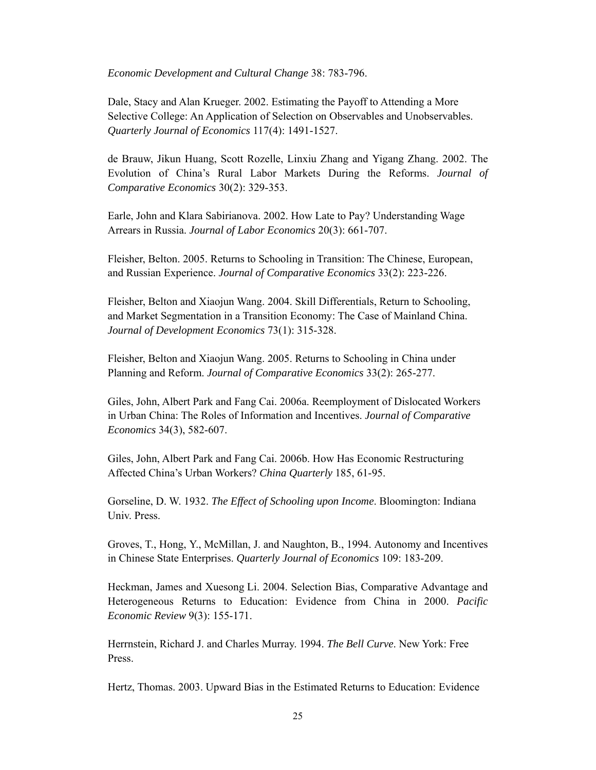*Economic Development and Cultural Change* 38: 783-796.

Dale, Stacy and Alan Krueger. 2002. Estimating the Payoff to Attending a More Selective College: An Application of Selection on Observables and Unobservables. *Quarterly Journal of Economics* 117(4): 1491-1527.

de Brauw, Jikun Huang, Scott Rozelle, Linxiu Zhang and Yigang Zhang. 2002. The Evolution of China's Rural Labor Markets During the Reforms. *Journal of Comparative Economics* 30(2): 329-353.

Earle, John and Klara Sabirianova. 2002. How Late to Pay? Understanding Wage Arrears in Russia. *Journal of Labor Economics* 20(3): 661-707.

Fleisher, Belton. 2005. Returns to Schooling in Transition: The Chinese, European, and Russian Experience. *Journal of Comparative Economics* 33(2): 223-226.

Fleisher, Belton and Xiaojun Wang. 2004. Skill Differentials, Return to Schooling, and Market Segmentation in a Transition Economy: The Case of Mainland China. *Journal of Development Economics* 73(1): 315-328.

Fleisher, Belton and Xiaojun Wang. 2005. Returns to Schooling in China under Planning and Reform. *Journal of Comparative Economics* 33(2): 265-277.

Giles, John, Albert Park and Fang Cai. 2006a. Reemployment of Dislocated Workers in Urban China: The Roles of Information and Incentives. *Journal of Comparative Economics* 34(3), 582-607.

Giles, John, Albert Park and Fang Cai. 2006b. How Has Economic Restructuring Affected China's Urban Workers? *China Quarterly* 185, 61-95.

Gorseline, D. W. 1932. *The Effect of Schooling upon Income*. Bloomington: Indiana Univ. Press.

Groves, T., Hong, Y., McMillan, J. and Naughton, B., 1994. Autonomy and Incentives in Chinese State Enterprises. *Quarterly Journal of Economics* 109: 183-209.

Heckman, James and Xuesong Li. 2004. Selection Bias, Comparative Advantage and Heterogeneous Returns to Education: Evidence from China in 2000. *Pacific Economic Review* 9(3): 155-171.

Herrnstein, Richard J. and Charles Murray. 1994. *The Bell Curve*. New York: Free Press.

Hertz, Thomas. 2003. Upward Bias in the Estimated Returns to Education: Evidence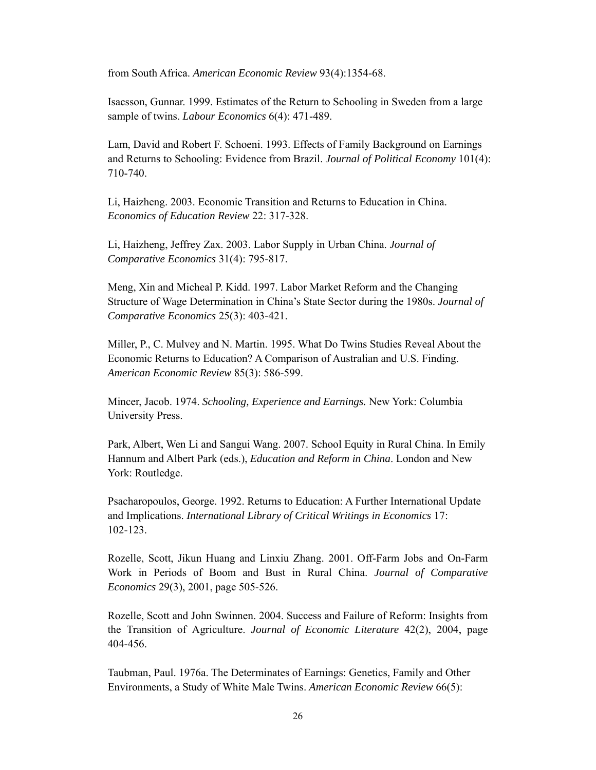from South Africa. *American Economic Review* 93(4):1354-68.

Isacsson, Gunnar. 1999. Estimates of the Return to Schooling in Sweden from a large sample of twins. *Labour Economics* 6(4): 471-489.

Lam, David and Robert F. Schoeni. 1993. Effects of Family Background on Earnings and Returns to Schooling: Evidence from Brazil. *Journal of Political Economy* 101(4): 710-740.

Li, Haizheng. 2003. Economic Transition and Returns to Education in China. *Economics of Education Review* 22: 317-328.

Li, Haizheng, Jeffrey Zax. 2003. Labor Supply in Urban China. *Journal of Comparative Economics* 31(4): 795-817.

Meng, Xin and Micheal P. Kidd. 1997. Labor Market Reform and the Changing Structure of Wage Determination in China's State Sector during the 1980s. *Journal of Comparative Economics* 25(3): 403-421.

Miller, P., C. Mulvey and N. Martin. 1995. What Do Twins Studies Reveal About the Economic Returns to Education? A Comparison of Australian and U.S. Finding. *American Economic Review* 85(3): 586-599.

Mincer, Jacob. 1974. *Schooling, Experience and Earnings.* New York: Columbia University Press.

Park, Albert, Wen Li and Sangui Wang. 2007. School Equity in Rural China. In Emily Hannum and Albert Park (eds.), *Education and Reform in China*. London and New York: Routledge.

Psacharopoulos, George. 1992. Returns to Education: A Further International Update and Implications. *International Library of Critical Writings in Economics* 17: 102-123.

Rozelle, Scott, Jikun Huang and Linxiu Zhang. 2001. Off-Farm Jobs and On-Farm Work in Periods of Boom and Bust in Rural China. *Journal of Comparative Economics* 29(3), 2001, page 505-526.

Rozelle, Scott and John Swinnen. 2004. Success and Failure of Reform: Insights from the Transition of Agriculture. *Journal of Economic Literature* 42(2), 2004, page 404-456.

Taubman, Paul. 1976a. The Determinates of Earnings: Genetics, Family and Other Environments, a Study of White Male Twins. *American Economic Review* 66(5):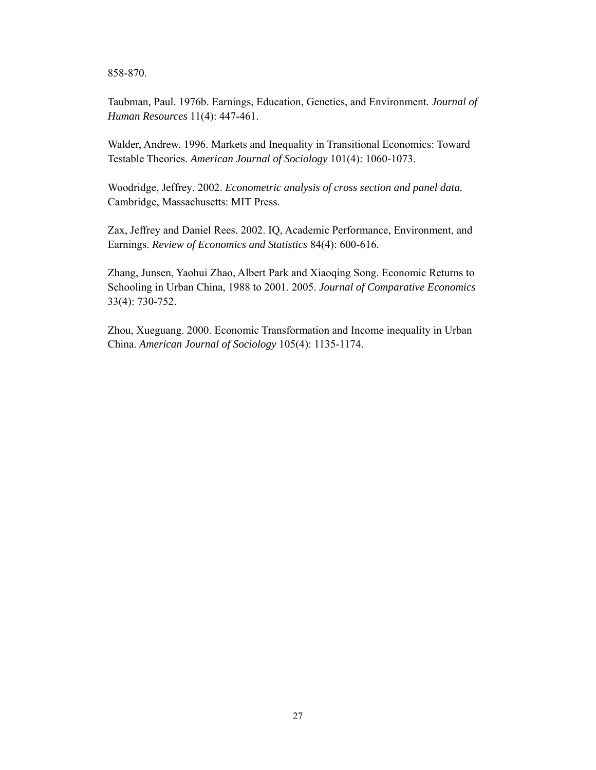858-870.

Taubman, Paul. 1976b. Earnings, Education, Genetics, and Environment. *Journal of Human Resources* 11(4): 447-461.

Walder, Andrew. 1996. Markets and Inequality in Transitional Economics: Toward Testable Theories. *American Journal of Sociology* 101(4): 1060-1073.

Woodridge, Jeffrey. 2002. *Econometric analysis of cross section and panel data.* Cambridge, Massachusetts: MIT Press.

Zax, Jeffrey and Daniel Rees. 2002. IQ, Academic Performance, Environment, and Earnings. *Review of Economics and Statistics* 84(4): 600-616.

Zhang, Junsen, Yaohui Zhao, Albert Park and Xiaoqing Song. Economic Returns to Schooling in Urban China, 1988 to 2001. 2005. *Journal of Comparative Economics* 33(4): 730-752.

Zhou, Xueguang. 2000. Economic Transformation and Income inequality in Urban China. *American Journal of Sociology* 105(4): 1135-1174.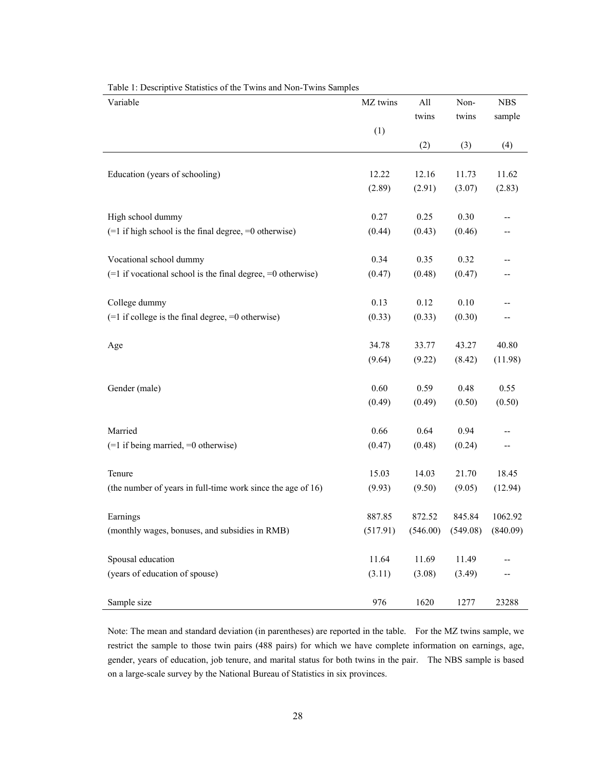| Variable                                                        | MZ twins | All    | Non-                             | <b>NBS</b> |
|-----------------------------------------------------------------|----------|--------|----------------------------------|------------|
|                                                                 |          | twins  | twins                            | sample     |
|                                                                 | (1)      |        |                                  |            |
|                                                                 |          | (2)    | (3)                              | (4)        |
|                                                                 |          |        |                                  |            |
| Education (years of schooling)                                  | 12.22    | 12.16  | 11.73                            | 11.62      |
|                                                                 | (2.89)   | (2.91) | (3.07)                           | (2.83)     |
| High school dummy                                               | 0.27     | 0.25   | 0.30                             |            |
| $(=1$ if high school is the final degree, $=0$ otherwise)       | (0.44)   | (0.43) | (0.46)                           | --         |
| Vocational school dummy                                         | 0.34     | 0.35   | 0.32                             |            |
| $(=1$ if vocational school is the final degree, $=0$ otherwise) |          |        |                                  |            |
|                                                                 | (0.47)   | (0.48) | (0.47)                           |            |
| College dummy                                                   | 0.13     | 0.12   | $0.10\,$                         |            |
| $(=1$ if college is the final degree, $=0$ otherwise)           | (0.33)   | (0.33) | (0.30)                           | --         |
| Age                                                             | 34.78    | 33.77  | 43.27                            | 40.80      |
|                                                                 | (9.64)   | (9.22) | (8.42)                           | (11.98)    |
|                                                                 |          |        |                                  |            |
| Gender (male)                                                   | 0.60     | 0.59   | 0.48                             | 0.55       |
|                                                                 | (0.49)   | (0.49) | (0.50)                           | (0.50)     |
| Married                                                         | 0.66     | 0.64   | 0.94                             |            |
| $(=1$ if being married, $=0$ otherwise)                         | (0.47)   | (0.48) | (0.24)                           | --         |
|                                                                 |          |        |                                  |            |
| Tenure                                                          | 15.03    | 14.03  | 21.70                            | 18.45      |
| (the number of years in full-time work since the age of 16)     | (9.93)   | (9.50) | (9.05)                           | (12.94)    |
| Earnings                                                        | 887.85   | 872.52 | 845.84                           | 1062.92    |
| (monthly wages, bonuses, and subsidies in RMB)                  | (517.91) |        | $(546.00)$ $(549.08)$ $(840.09)$ |            |
|                                                                 |          |        |                                  |            |
| Spousal education                                               | 11.64    | 11.69  | 11.49                            |            |
| (years of education of spouse)                                  | (3.11)   | (3.08) | (3.49)                           |            |
| Sample size                                                     | 976      | 1620   | 1277                             | 23288      |

Table 1: Descriptive Statistics of the Twins and Non-Twins Samples

Note: The mean and standard deviation (in parentheses) are reported in the table. For the MZ twins sample, we restrict the sample to those twin pairs (488 pairs) for which we have complete information on earnings, age, gender, years of education, job tenure, and marital status for both twins in the pair. The NBS sample is based on a large-scale survey by the National Bureau of Statistics in six provinces.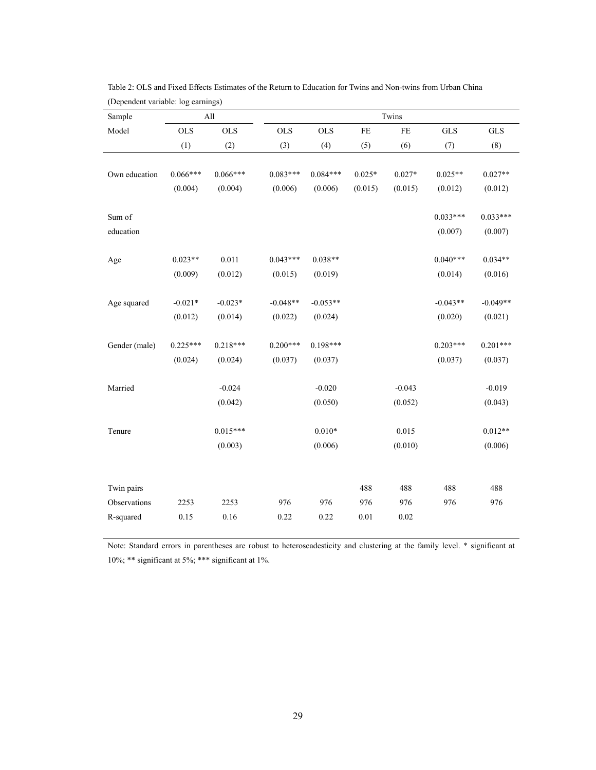| Sample        |            | All        |            | Twins      |          |          |             |             |
|---------------|------------|------------|------------|------------|----------|----------|-------------|-------------|
| Model         | <b>OLS</b> | <b>OLS</b> | <b>OLS</b> | <b>OLS</b> | $\rm FE$ | $\rm FE$ | ${\rm GLS}$ | ${\rm GLS}$ |
|               | (1)        | (2)        | (3)        | (4)        | (5)      | (6)      | (7)         | (8)         |
|               |            |            |            |            |          |          |             |             |
| Own education | $0.066***$ | $0.066***$ | $0.083***$ | $0.084***$ | $0.025*$ | $0.027*$ | $0.025**$   | $0.027**$   |
|               | (0.004)    | (0.004)    | (0.006)    | (0.006)    | (0.015)  | (0.015)  | (0.012)     | (0.012)     |
| Sum of        |            |            |            |            |          |          | $0.033***$  | $0.033***$  |
| education     |            |            |            |            |          |          | (0.007)     | (0.007)     |
|               | $0.023**$  | 0.011      | $0.043***$ | $0.038**$  |          |          | $0.040***$  | $0.034**$   |
| Age           |            |            |            |            |          |          |             |             |
|               | (0.009)    | (0.012)    | (0.015)    | (0.019)    |          |          | (0.014)     | (0.016)     |
| Age squared   | $-0.021*$  | $-0.023*$  | $-0.048**$ | $-0.053**$ |          |          | $-0.043**$  | $-0.049**$  |
|               | (0.012)    | (0.014)    | (0.022)    | (0.024)    |          |          | (0.020)     | (0.021)     |
| Gender (male) | $0.225***$ | $0.218***$ | $0.200***$ | $0.198***$ |          |          | $0.203***$  | $0.201***$  |
|               | (0.024)    | (0.024)    | (0.037)    | (0.037)    |          |          | (0.037)     | (0.037)     |
| Married       |            | $-0.024$   |            | $-0.020$   |          | $-0.043$ |             | $-0.019$    |
|               |            |            |            |            |          |          |             |             |
|               |            | (0.042)    |            | (0.050)    |          | (0.052)  |             | (0.043)     |
| Tenure        |            | $0.015***$ |            | $0.010*$   |          | 0.015    |             | $0.012**$   |
|               |            | (0.003)    |            | (0.006)    |          | (0.010)  |             | (0.006)     |
|               |            |            |            |            |          |          |             |             |
| Twin pairs    |            |            |            |            | 488      | 488      | 488         | 488         |
| Observations  | 2253       | 2253       | 976        | 976        | 976      | 976      | 976         | 976         |
| R-squared     | $0.15\,$   | 0.16       | 0.22       | 0.22       | $0.01\,$ | $0.02\,$ |             |             |

Table 2: OLS and Fixed Effects Estimates of the Return to Education for Twins and Non-twins from Urban China (Dependent variable: log earnings)

Note: Standard errors in parentheses are robust to heteroscadesticity and clustering at the family level. \* significant at 10%; \*\* significant at 5%; \*\*\* significant at 1%.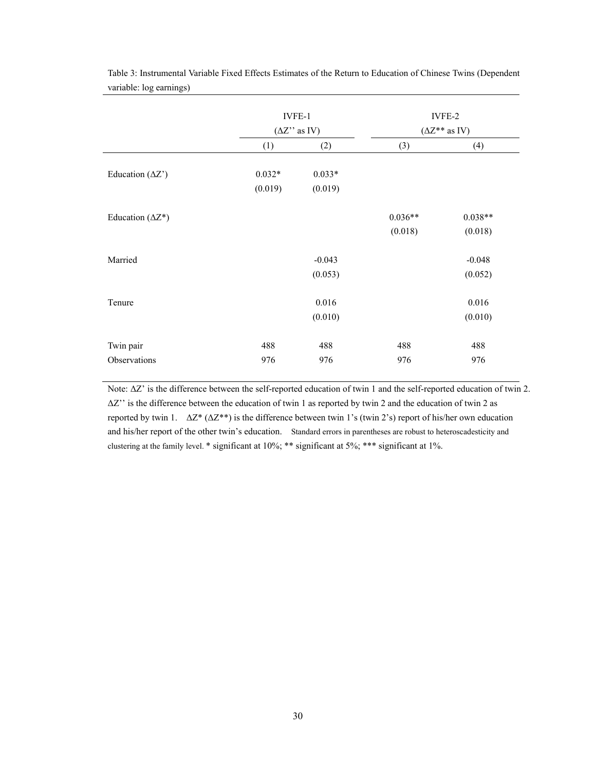|                                 | IVFE-1<br>$(\Delta Z$ " as IV) |          | IVFE-2<br>$(\Delta Z^{**}$ as IV) |           |  |  |
|---------------------------------|--------------------------------|----------|-----------------------------------|-----------|--|--|
|                                 | (1)                            | (2)      | (3)                               | (4)       |  |  |
| Education $(\Delta Z^{\prime})$ | $0.032*$                       | $0.033*$ |                                   |           |  |  |
|                                 | (0.019)                        | (0.019)  |                                   |           |  |  |
| Education ( $\Delta Z^*$ )      |                                |          | $0.036**$                         | $0.038**$ |  |  |
|                                 |                                |          | (0.018)                           | (0.018)   |  |  |
| Married                         |                                | $-0.043$ |                                   | $-0.048$  |  |  |
|                                 |                                | (0.053)  |                                   | (0.052)   |  |  |
| Tenure                          |                                | 0.016    |                                   | 0.016     |  |  |
|                                 |                                | (0.010)  |                                   | (0.010)   |  |  |
| Twin pair                       | 488                            | 488      | 488                               | 488       |  |  |
| Observations                    | 976                            | 976      | 976                               | 976       |  |  |

Table 3: Instrumental Variable Fixed Effects Estimates of the Return to Education of Chinese Twins (Dependent variable: log earnings)

Note: ∆Z' is the difference between the self-reported education of twin 1 and the self-reported education of twin 2. ∆Z'' is the difference between the education of twin 1 as reported by twin 2 and the education of twin 2 as reported by twin 1. ∆Z\* (∆Z\*\*) is the difference between twin 1's (twin 2's) report of his/her own education and his/her report of the other twin's education. Standard errors in parentheses are robust to heteroscadesticity and clustering at the family level. \* significant at 10%; \*\* significant at 5%; \*\*\* significant at 1%.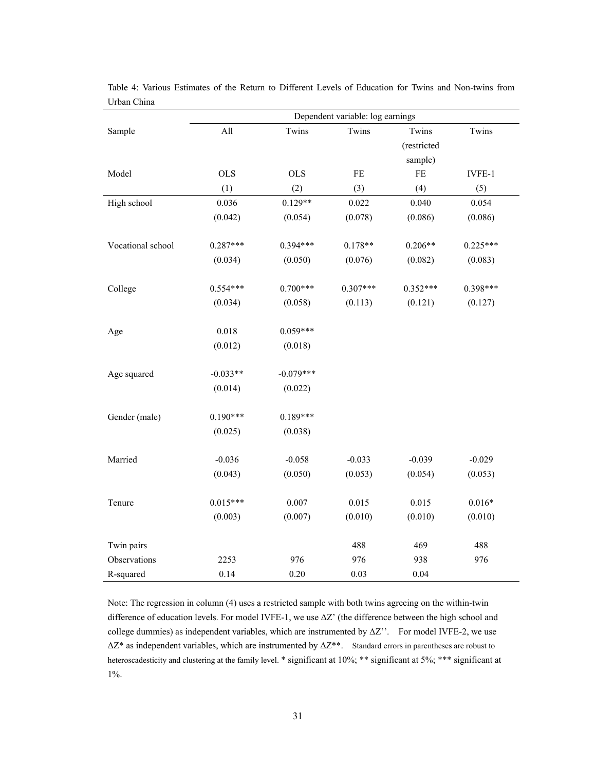|                   | Dependent variable: log earnings |             |            |             |            |  |
|-------------------|----------------------------------|-------------|------------|-------------|------------|--|
| Sample            | All                              | Twins       | Twins      | Twins       | Twins      |  |
|                   |                                  |             |            | (restricted |            |  |
|                   |                                  |             |            | sample)     |            |  |
| Model             | <b>OLS</b>                       | <b>OLS</b>  | $\rm FE$   | $\rm FE$    | IVFE-1     |  |
|                   | (1)                              | (2)         | (3)        | (4)         | (5)        |  |
| High school       | 0.036                            | $0.129**$   | 0.022      | 0.040       | 0.054      |  |
|                   | (0.042)                          | (0.054)     | (0.078)    | (0.086)     | (0.086)    |  |
|                   |                                  |             |            |             |            |  |
| Vocational school | $0.287***$                       | $0.394***$  | $0.178**$  | $0.206**$   | $0.225***$ |  |
|                   | (0.034)                          | (0.050)     | (0.076)    | (0.082)     | (0.083)    |  |
|                   |                                  |             |            |             |            |  |
| College           | $0.554***$                       | $0.700***$  | $0.307***$ | $0.352***$  | $0.398***$ |  |
|                   | (0.034)                          | (0.058)     | (0.113)    | (0.121)     | (0.127)    |  |
|                   |                                  |             |            |             |            |  |
| Age               | 0.018                            | $0.059***$  |            |             |            |  |
|                   | (0.012)                          | (0.018)     |            |             |            |  |
|                   |                                  |             |            |             |            |  |
| Age squared       | $-0.033**$                       | $-0.079***$ |            |             |            |  |
|                   | (0.014)                          | (0.022)     |            |             |            |  |
|                   |                                  |             |            |             |            |  |
| Gender (male)     | $0.190***$                       | $0.189***$  |            |             |            |  |
|                   | (0.025)                          | (0.038)     |            |             |            |  |
|                   |                                  |             |            |             |            |  |
| Married           | $-0.036$                         | $-0.058$    | $-0.033$   | $-0.039$    | $-0.029$   |  |
|                   | (0.043)                          | (0.050)     | (0.053)    | (0.054)     | (0.053)    |  |
|                   |                                  |             |            |             |            |  |
| Tenure            | $0.015***$                       | 0.007       | 0.015      | 0.015       | $0.016*$   |  |
|                   | (0.003)                          | (0.007)     | (0.010)    | (0.010)     | (0.010)    |  |
|                   |                                  |             |            |             |            |  |
| Twin pairs        |                                  |             | 488        | 469         | 488        |  |
| Observations      | 2253                             | 976         | 976        | 938         | 976        |  |
| R-squared         | 0.14                             | 0.20        | 0.03       | 0.04        |            |  |

Table 4: Various Estimates of the Return to Different Levels of Education for Twins and Non-twins from Urban China

Note: The regression in column (4) uses a restricted sample with both twins agreeing on the within-twin difference of education levels. For model IVFE-1, we use ∆Z' (the difference between the high school and college dummies) as independent variables, which are instrumented by ∆Z''. For model IVFE-2, we use ∆Z\* as independent variables, which are instrumented by ∆Z\*\*. Standard errors in parentheses are robust to heteroscadesticity and clustering at the family level. \* significant at 10%; \*\* significant at 5%; \*\*\* significant at 1%.